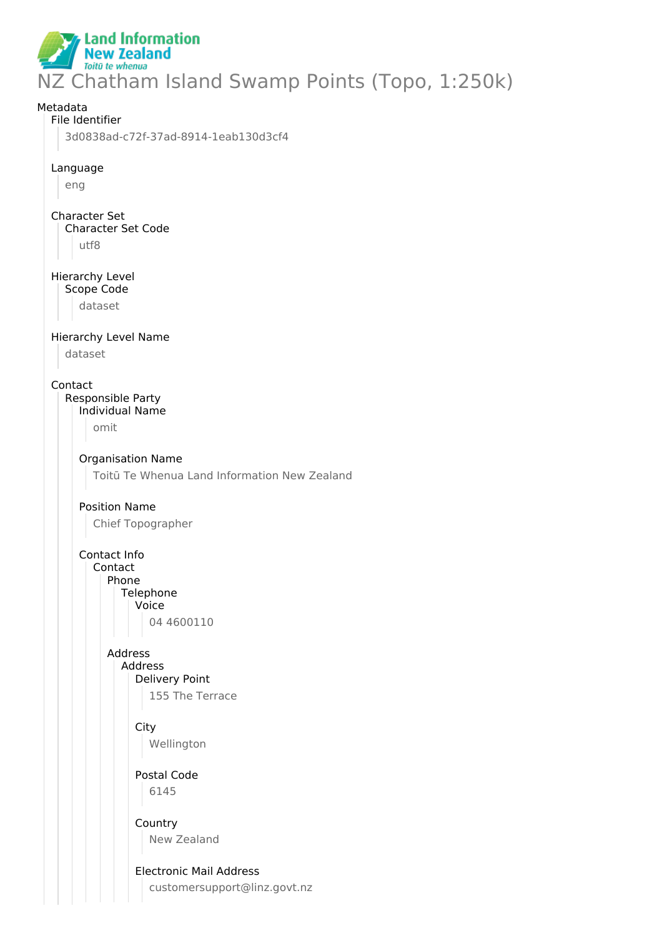**Land Information New Zealand** Toitū te whenua NZ Chatham Island Swamp Points (Topo, 1:250k)

Metadata File Identifier 3d0838ad-c72f-37ad-8914-1eab130d3cf4 Language eng Character Set Character Set Code utf8 Hierarchy Level Scope Code dataset Hierarchy Level Name dataset Contact Responsible Party Individual Name omit Organisation Name Toitū Te Whenua Land Information New Zealand Position Name Chief Topographer Contact Info Contact Phone **Telephone** Voice 04 4600110 Address Address Delivery Point 155 The Terrace **City** Wellington Postal Code 6145 Country New Zealand Electronic Mail Address customersupport@linz.govt.nz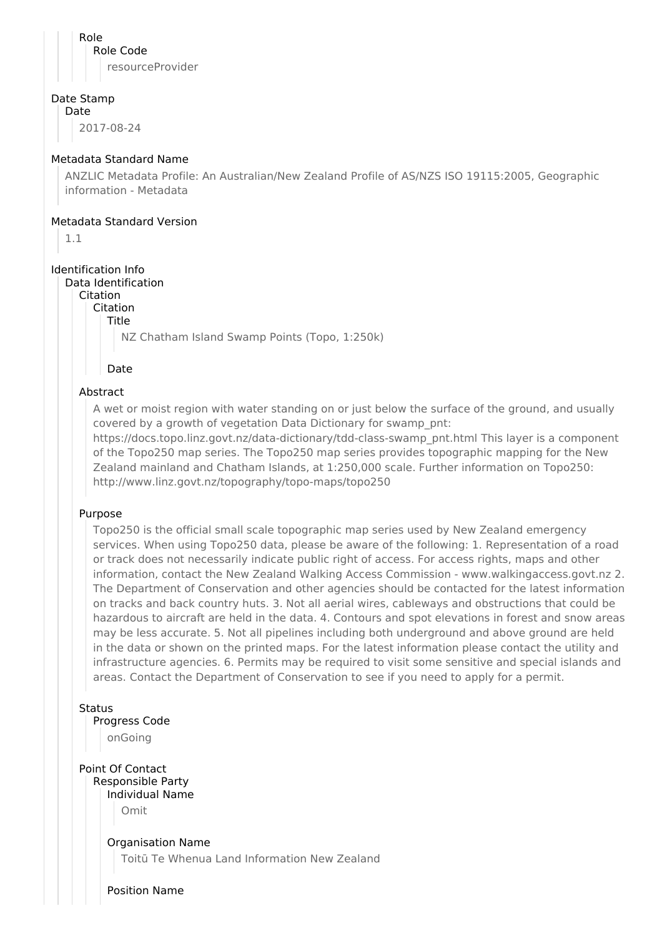Role Role Code resourceProvider

## Date Stamp

Date

2017-08-24

## Metadata Standard Name

ANZLIC Metadata Profile: An Australian/New Zealand Profile of AS/NZS ISO 19115:2005, Geographic information - Metadata

## Metadata Standard Version

1.1

## Identification Info

Data Identification

Citation

Citation

Title

NZ Chatham Island Swamp Points (Topo, 1:250k)

Date

## Abstract

A wet or moist region with water standing on or just below the surface of the ground, and usually covered by a growth of vegetation Data Dictionary for swamp\_pnt:

https://docs.topo.linz.govt.nz/data-dictionary/tdd-class-swamp\_pnt.html This layer is a component of the Topo250 map series. The Topo250 map series provides topographic mapping for the New Zealand mainland and Chatham Islands, at 1:250,000 scale. Further information on Topo250: http://www.linz.govt.nz/topography/topo-maps/topo250

## Purpose

Topo250 is the official small scale topographic map series used by New Zealand emergency services. When using Topo250 data, please be aware of the following: 1. Representation of a road or track does not necessarily indicate public right of access. For access rights, maps and other information, contact the New Zealand Walking Access Commission - www.walkingaccess.govt.nz 2. The Department of Conservation and other agencies should be contacted for the latest information on tracks and back country huts. 3. Not all aerial wires, cableways and obstructions that could be hazardous to aircraft are held in the data. 4. Contours and spot elevations in forest and snow areas may be less accurate. 5. Not all pipelines including both underground and above ground are held in the data or shown on the printed maps. For the latest information please contact the utility and infrastructure agencies. 6. Permits may be required to visit some sensitive and special islands and areas. Contact the Department of Conservation to see if you need to apply for a permit.

**Status** 

## Progress Code

onGoing

Point Of Contact Responsible Party Individual Name Omit

> Organisation Name Toitū Te Whenua Land Information New Zealand

Position Name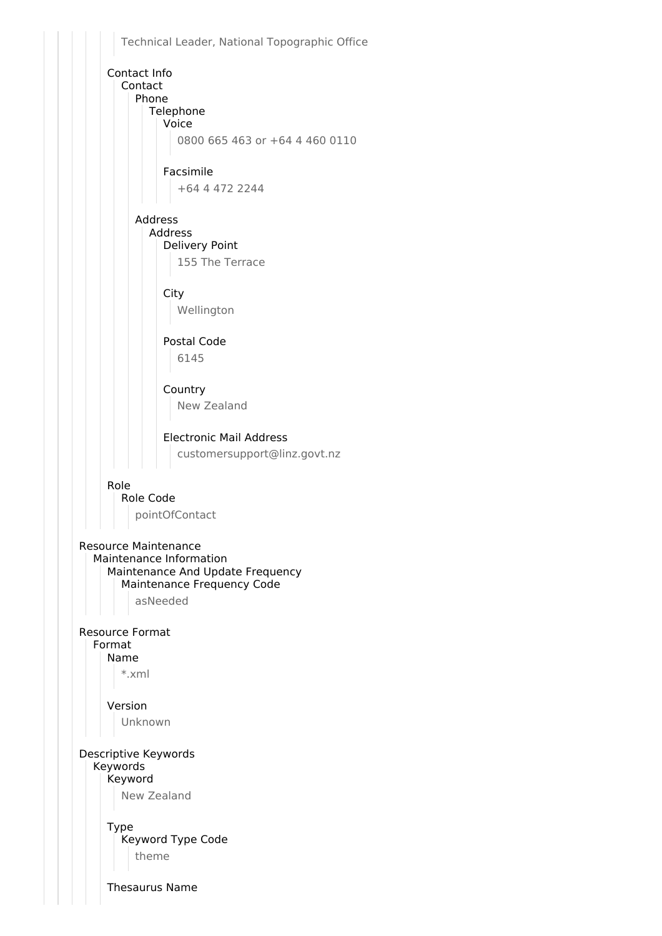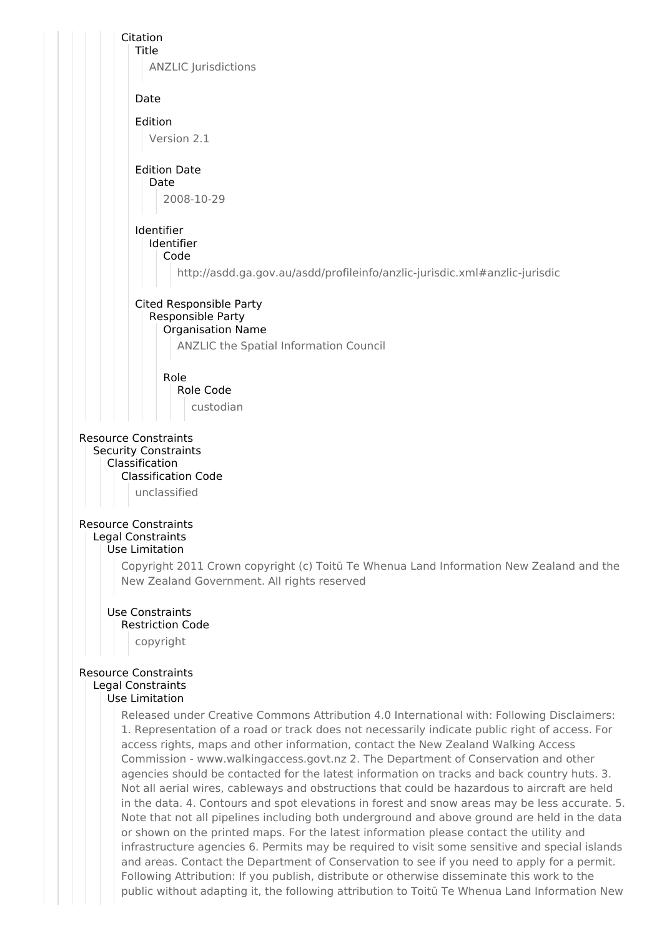

## Resource Constraints Legal Constraints

### Use Limitation

Copyright 2011 Crown copyright (c) Toitū Te Whenua Land Information New Zealand and the New Zealand Government. All rights reserved

## Use Constraints

## Restriction Code

copyright

## Resource Constraints

# Legal Constraints

# Use Limitation

Released under Creative Commons Attribution 4.0 International with: Following Disclaimers: 1. Representation of a road or track does not necessarily indicate public right of access. For access rights, maps and other information, contact the New Zealand Walking Access Commission - www.walkingaccess.govt.nz 2. The Department of Conservation and other agencies should be contacted for the latest information on tracks and back country huts. 3. Not all aerial wires, cableways and obstructions that could be hazardous to aircraft are held in the data. 4. Contours and spot elevations in forest and snow areas may be less accurate. 5. Note that not all pipelines including both underground and above ground are held in the data or shown on the printed maps. For the latest information please contact the utility and infrastructure agencies 6. Permits may be required to visit some sensitive and special islands and areas. Contact the Department of Conservation to see if you need to apply for a permit. Following Attribution: If you publish, distribute or otherwise disseminate this work to the public without adapting it, the following attribution to Toitū Te Whenua Land Information New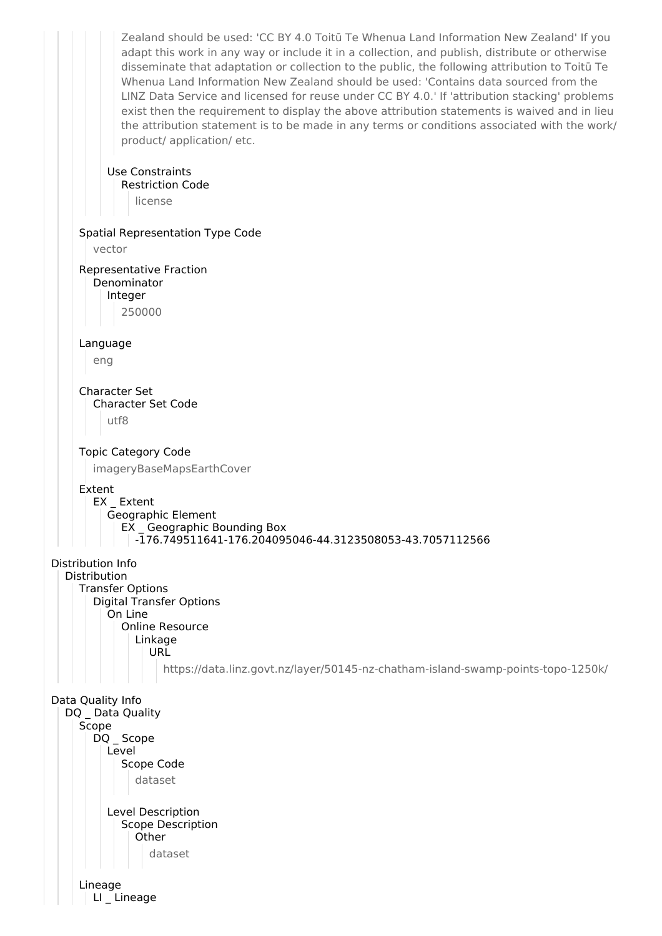Zealand should be used: 'CC BY 4.0 Toitū Te Whenua Land Information New Zealand' If you adapt this work in any way or include it in a collection, and publish, distribute or otherwise disseminate that adaptation or collection to the public, the following attribution to Toitū Te Whenua Land Information New Zealand should be used: 'Contains data sourced from the LINZ Data Service and licensed for reuse under CC BY 4.0.' If 'attribution stacking' problems exist then the requirement to display the above attribution statements is waived and in lieu the attribution statement is to be made in any terms or conditions associated with the work/ product/ application/ etc. Use Constraints Restriction Code license Spatial Representation Type Code vector Representative Fraction Denominator Integer 250000 Language eng Character Set Character Set Code utf8 Topic Category Code imageryBaseMapsEarthCover Extent EX Extent Geographic Element EX \_ Geographic Bounding Box -176.749511641-176.204095046-44.3123508053-43.7057112566 Distribution Info Distribution Transfer Options Digital Transfer Options On Line Online Resource Linkage **URL** https://data.linz.govt.nz/layer/50145-nz-chatham-island-swamp-points-topo-1250k/ Data Quality Info DQ Data Quality Scope DQ Scope Level Scope Code dataset Level Description Scope Description **Other** dataset Lineage LI Lineage